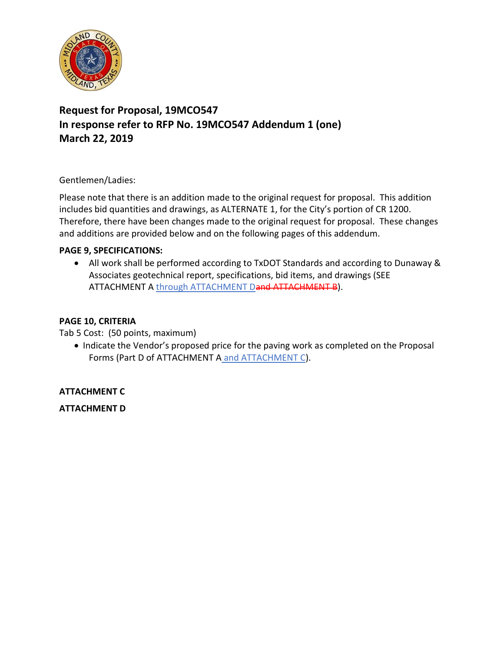

# **Request for Proposal, 19MCO547 In response refer to RFP No. 19MCO547 Addendum 1 (one) March 22, 2019**

Gentlemen/Ladies:

Please note that there is an addition made to the original request for proposal. This addition includes bid quantities and drawings, as ALTERNATE 1, for the City's portion of CR 1200. Therefore, there have been changes made to the original request for proposal. These changes and additions are provided below and on the following pages of this addendum.

### **PAGE 9, SPECIFICATIONS:**

• All work shall be performed according to TxDOT Standards and according to Dunaway & Associates geotechnical report, specifications, bid items, and drawings (SEE ATTACHMENT A through ATTACHMENT Dand ATTACHMENT B).

### **PAGE 10, CRITERIA**

Tab 5 Cost: (50 points, maximum)

• Indicate the Vendor's proposed price for the paving work as completed on the Proposal Forms (Part D of ATTACHMENT A and ATTACHMENT C).

**ATTACHMENT C**

**ATTACHMENT D**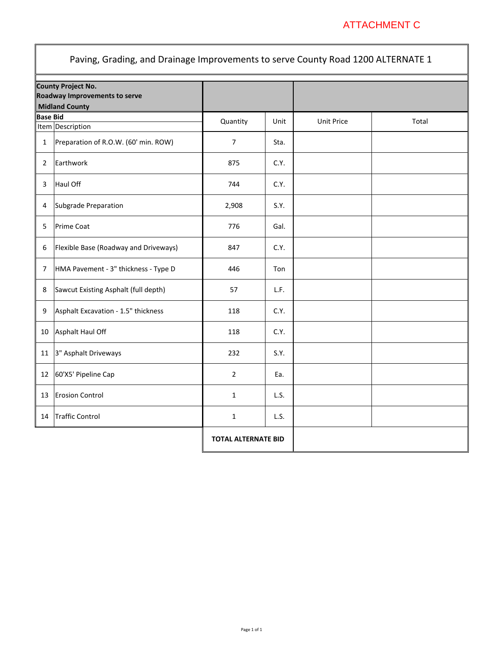## ATTACHMENT C

| Paving, Grading, and Drainage Improvements to serve County Road 1200 ALTERNATE 1    |                                       |                            |      |                   |       |
|-------------------------------------------------------------------------------------|---------------------------------------|----------------------------|------|-------------------|-------|
| <b>County Project No.</b><br>Roadway Improvements to serve<br><b>Midland County</b> |                                       |                            |      |                   |       |
| <b>Base Bid</b>                                                                     | Item Description                      | Quantity                   | Unit | <b>Unit Price</b> | Total |
| $\mathbf{1}$                                                                        | Preparation of R.O.W. (60' min. ROW)  | $\overline{7}$             | Sta. |                   |       |
| $\overline{2}$                                                                      | Earthwork                             | 875                        | C.Y. |                   |       |
| 3                                                                                   | Haul Off                              | 744                        | C.Y. |                   |       |
| 4                                                                                   | Subgrade Preparation                  | 2,908                      | S.Y. |                   |       |
| 5                                                                                   | <b>Prime Coat</b>                     | 776                        | Gal. |                   |       |
| 6                                                                                   | Flexible Base (Roadway and Driveways) | 847                        | C.Y. |                   |       |
| 7                                                                                   | HMA Pavement - 3" thickness - Type D  | 446                        | Ton  |                   |       |
| 8                                                                                   | Sawcut Existing Asphalt (full depth)  | 57                         | L.F. |                   |       |
| 9                                                                                   | Asphalt Excavation - 1.5" thickness   | 118                        | C.Y. |                   |       |
| 10                                                                                  | Asphalt Haul Off                      | 118                        | C.Y. |                   |       |
| 11                                                                                  | 3" Asphalt Driveways                  | 232                        | S.Y. |                   |       |
| 12                                                                                  | 60'X5' Pipeline Cap                   | $\overline{2}$             | Ea.  |                   |       |
| 13                                                                                  | <b>Erosion Control</b>                | $\mathbf{1}$               | L.S. |                   |       |
| 14                                                                                  | <b>Traffic Control</b>                | 1                          | L.S. |                   |       |
|                                                                                     |                                       | <b>TOTAL ALTERNATE BID</b> |      |                   |       |

 $\mathbb{F}$